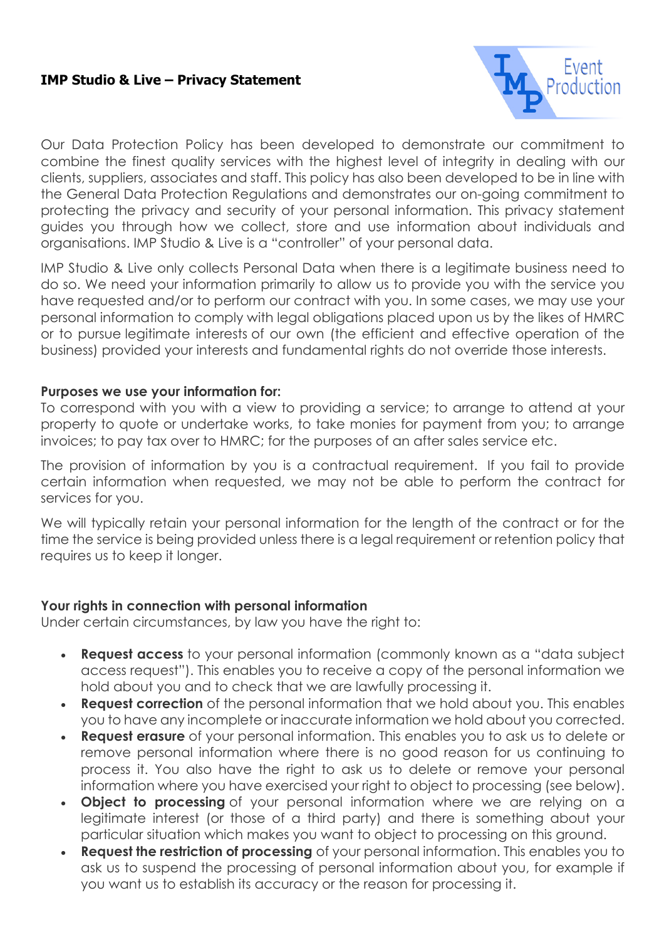### **IMP Studio & Live – Privacy Statement**



Our Data Protection Policy has been developed to demonstrate our commitment to combine the finest quality services with the highest level of integrity in dealing with our clients, suppliers, associates and staff. This policy has also been developed to be in line with the General Data Protection Regulations and demonstrates our on-going commitment to protecting the privacy and security of your personal information. This privacy statement guides you through how we collect, store and use information about individuals and organisations. IMP Studio & Live is a "controller" of your personal data.

IMP Studio & Live only collects Personal Data when there is a legitimate business need to do so. We need your information primarily to allow us to provide you with the service you have requested and/or to perform our contract with you. In some cases, we may use your personal information to comply with legal obligations placed upon us by the likes of HMRC or to pursue legitimate interests of our own (the efficient and effective operation of the business) provided your interests and fundamental rights do not override those interests.

#### **Purposes we use your information for:**

To correspond with you with a view to providing a service; to arrange to attend at your property to quote or undertake works, to take monies for payment from you; to arrange invoices; to pay tax over to HMRC; for the purposes of an after sales service etc.

The provision of information by you is a contractual requirement. If you fail to provide certain information when requested, we may not be able to perform the contract for services for you.

We will typically retain your personal information for the length of the contract or for the time the service is being provided unless there is a legal requirement or retention policy that requires us to keep it longer.

#### **Your rights in connection with personal information**

Under certain circumstances, by law you have the right to:

- **Request access** to your personal information (commonly known as a "data subject access request"). This enables you to receive a copy of the personal information we hold about you and to check that we are lawfully processing it.
- **Request correction** of the personal information that we hold about you. This enables you to have any incomplete or inaccurate information we hold about you corrected.
- **Request erasure** of your personal information. This enables you to ask us to delete or remove personal information where there is no good reason for us continuing to process it. You also have the right to ask us to delete or remove your personal information where you have exercised your right to object to processing (see below).
- **Object to processing** of your personal information where we are relying on a legitimate interest (or those of a third party) and there is something about your particular situation which makes you want to object to processing on this ground.
- **Request the restriction of processing** of your personal information. This enables you to ask us to suspend the processing of personal information about you, for example if you want us to establish its accuracy or the reason for processing it.